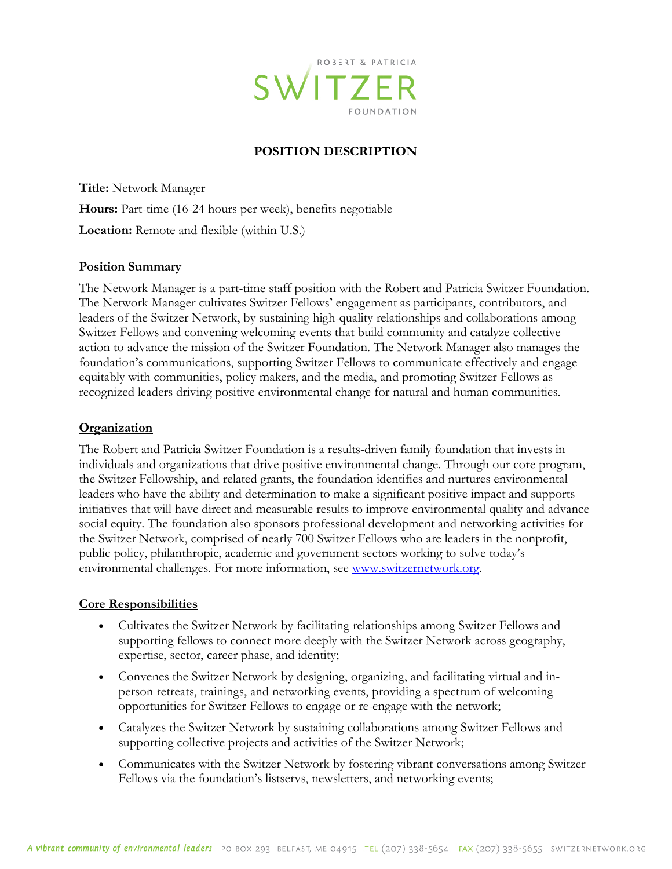

### **POSITION DESCRIPTION**

**Title:** Network Manager **Hours:** Part-time (16-24 hours per week), benefits negotiable **Location:** Remote and flexible (within U.S.)

#### **Position Summary**

The Network Manager is a part-time staff position with the Robert and Patricia Switzer Foundation. The Network Manager cultivates Switzer Fellows' engagement as participants, contributors, and leaders of the Switzer Network, by sustaining high-quality relationships and collaborations among Switzer Fellows and convening welcoming events that build community and catalyze collective action to advance the mission of the Switzer Foundation. The Network Manager also manages the foundation's communications, supporting Switzer Fellows to communicate effectively and engage equitably with communities, policy makers, and the media, and promoting Switzer Fellows as recognized leaders driving positive environmental change for natural and human communities.

#### **Organization**

The Robert and Patricia Switzer Foundation is a results-driven family foundation that invests in individuals and organizations that drive positive environmental change. Through our core program, the Switzer Fellowship, and related grants, the foundation identifies and nurtures environmental leaders who have the ability and determination to make a significant positive impact and supports initiatives that will have direct and measurable results to improve environmental quality and advance social equity. The foundation also sponsors professional development and networking activities for the Switzer Network, comprised of nearly 700 Switzer Fellows who are leaders in the nonprofit, public policy, philanthropic, academic and government sectors working to solve today's environmental challenges. For more information, see [www.switzernetwork.org.](http://www.switzernetwork.org/)

#### **Core Responsibilities**

- Cultivates the Switzer Network by facilitating relationships among Switzer Fellows and supporting fellows to connect more deeply with the Switzer Network across geography, expertise, sector, career phase, and identity;
- Convenes the Switzer Network by designing, organizing, and facilitating virtual and inperson retreats, trainings, and networking events, providing a spectrum of welcoming opportunities for Switzer Fellows to engage or re-engage with the network;
- Catalyzes the Switzer Network by sustaining collaborations among Switzer Fellows and supporting collective projects and activities of the Switzer Network;
- Communicates with the Switzer Network by fostering vibrant conversations among Switzer Fellows via the foundation's listservs, newsletters, and networking events;